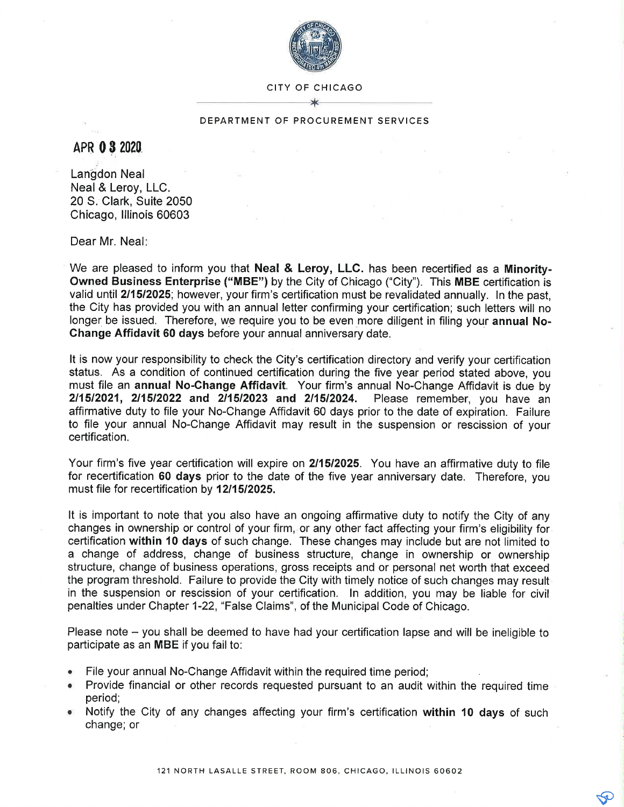

CITY OF CHICAGO

## DEPARTMENT OF PROCUREMENT SERVICES

APR 0 3 2020

Langdon Neal Neal & Leroy, LLC. 20 S. Clark, Suite 2050 Chicago, lllinois 60603

Dear Mr. Neal

We are pleased to inform you that **Neal & Leroy, LLC**. has been recertified as a Minority-Owned Business Enterprise ("MBE") by the City of Chicago ("City"). This MBE certification is valid until 211512025; however, your firm's certification must be revalidated annually. ln the past, the City has provided you with an annual letter confirming your certification; such letters will no longer be issued. Therefore, we require you to be even more diligent in filing your annual No-Change Affidavit 60 days before your annual anniversary date.

It is now your responsibility to check the City's certification directory and verify your certification status. As a condition of continued certification during the five year period stated above, you must file an annual No-Change Affidavit. Your firm's annual No-Change Affidavit is due by 211512021, 211512022 and 211512023 and 211512024. Please remember, you have an affirmative duty to file your No-Change Affidavit 60 days prior to the date of expiration. Failure to file your annual No-Change Affidavit may result in the suspension or rescission of your certification.

Your firm's five year certification will expire on 211512025. You have an affirmative duty to file for recertification 60 days prior to the date of the five year anniversary date. Therefore, you must file for recertification by 12/15/2025.

It is important to note that you also have an ongoing affirmative duty to notify the City of any changes in ownership or control of your firm, or any other fact affecting your firm's eligibility for certification within 10 days of such change. These changes may include but are not limited to a change of address, change of business structure, change in ownership or ownership structure, change of business operations, gross receipts and or personal net worth that exceed the program threshold. Failure to provide the City with timely notice of such changes may result in the suspension or rescission of your certification. ln addition, you may be liable for civil penalties under Chapter 1-22, "False Claims", of the Municipal Code of Chicago.

Please note - you shall be deemed to have had your certification lapse and will be ineligible to participate as an MBE if you fail to:

- File your annual No-Change Affidavit within the required time period;
- . Provide financial or other records requested pursuant to an audit within the required time period;
- . Notify the City of any changes affecting your firm's certification within 10 days of such change; or

e